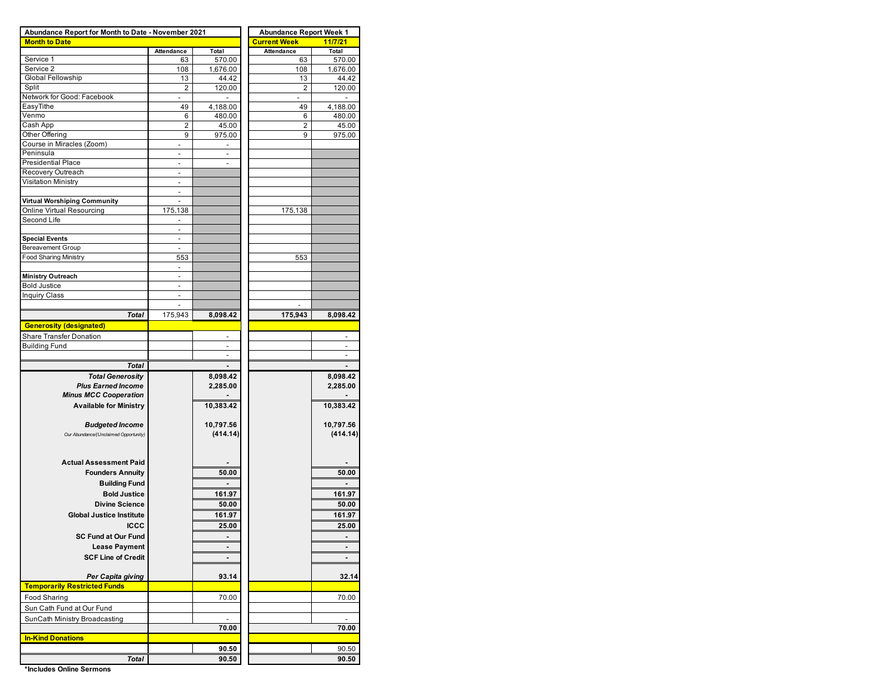| Abundance Report for Month to Date - November 2021 |                          |                          | <b>Abundance Report Week 1</b> |                          |  |  |  |  |  |  |
|----------------------------------------------------|--------------------------|--------------------------|--------------------------------|--------------------------|--|--|--|--|--|--|
| <b>Month to Date</b>                               |                          |                          | <b>Current Week</b>            | 11/7/21                  |  |  |  |  |  |  |
|                                                    | Attendance               | Total                    | Attendance                     | Total                    |  |  |  |  |  |  |
| Service 1                                          | 63                       | 570.00                   | 63                             | 570.00                   |  |  |  |  |  |  |
| Service 2                                          | 108                      | 1,676.00                 | 108                            | 1,676.00                 |  |  |  |  |  |  |
| Global Fellowship                                  | 13                       | 44.42                    | 13                             | 44.42                    |  |  |  |  |  |  |
| Split                                              | 2                        | 120.00                   | 2                              | 120.00                   |  |  |  |  |  |  |
| Network for Good: Facebook                         |                          |                          |                                |                          |  |  |  |  |  |  |
| EasyTithe                                          | 49                       | 4,188.00                 | 49                             | 4,188.00                 |  |  |  |  |  |  |
| Venmo                                              | 6                        | 480.00                   | 6                              | 480.00                   |  |  |  |  |  |  |
| Cash App                                           | 2                        | 45.00                    | 2                              | 45.00                    |  |  |  |  |  |  |
| Other Offering                                     | 9                        | 975.00                   | 9                              | 975.00                   |  |  |  |  |  |  |
| Course in Miracles (Zoom)                          |                          |                          |                                |                          |  |  |  |  |  |  |
| Peninsula                                          |                          |                          |                                |                          |  |  |  |  |  |  |
| <b>Presidential Place</b>                          | $\overline{a}$           | $\overline{a}$           |                                |                          |  |  |  |  |  |  |
| Recovery Outreach                                  |                          |                          |                                |                          |  |  |  |  |  |  |
| Visitation Ministry                                | ä,                       |                          |                                |                          |  |  |  |  |  |  |
|                                                    |                          |                          |                                |                          |  |  |  |  |  |  |
| <b>Virtual Worshiping Community</b>                |                          |                          |                                |                          |  |  |  |  |  |  |
| Online Virtual Resourcing                          | 175,138                  |                          | 175,138                        |                          |  |  |  |  |  |  |
| Second Life                                        |                          |                          |                                |                          |  |  |  |  |  |  |
|                                                    |                          |                          |                                |                          |  |  |  |  |  |  |
| <b>Special Events</b>                              | $\overline{\phantom{a}}$ |                          |                                |                          |  |  |  |  |  |  |
| <b>Bereavement Group</b>                           | $\sim$                   |                          |                                |                          |  |  |  |  |  |  |
| <b>Food Sharing Ministry</b>                       | 553                      |                          | 553                            |                          |  |  |  |  |  |  |
|                                                    | $\overline{a}$           |                          |                                |                          |  |  |  |  |  |  |
|                                                    | $\overline{\phantom{a}}$ |                          |                                |                          |  |  |  |  |  |  |
| <b>Ministry Outreach</b>                           | $\overline{a}$           |                          |                                |                          |  |  |  |  |  |  |
| <b>Bold Justice</b>                                |                          |                          |                                |                          |  |  |  |  |  |  |
| Inquiry Class                                      | $\overline{\phantom{a}}$ |                          |                                |                          |  |  |  |  |  |  |
|                                                    |                          |                          |                                |                          |  |  |  |  |  |  |
| Total                                              | 175,943                  | 8,098.42                 | 175,943                        | 8,098.42                 |  |  |  |  |  |  |
| <b>Generosity (designated)</b>                     |                          |                          |                                |                          |  |  |  |  |  |  |
| Share Transfer Donation                            |                          |                          |                                | $\overline{\phantom{a}}$ |  |  |  |  |  |  |
| <b>Building Fund</b>                               |                          | $\overline{\phantom{a}}$ |                                |                          |  |  |  |  |  |  |
|                                                    |                          |                          |                                |                          |  |  |  |  |  |  |
| Total                                              |                          |                          |                                |                          |  |  |  |  |  |  |
| <b>Total Generosity</b>                            |                          | 8,098.42                 |                                | 8,098.42                 |  |  |  |  |  |  |
| <b>Plus Earned Income</b>                          |                          | 2,285.00                 |                                | 2,285.00                 |  |  |  |  |  |  |
| <b>Minus MCC Cooperation</b>                       |                          |                          |                                |                          |  |  |  |  |  |  |
| <b>Available for Ministry</b>                      |                          | 10,383.42                |                                | 10,383.42                |  |  |  |  |  |  |
|                                                    |                          |                          |                                |                          |  |  |  |  |  |  |
| <b>Budgeted Income</b>                             |                          | 10,797.56                |                                | 10,797.56                |  |  |  |  |  |  |
|                                                    |                          | (414.14)                 |                                |                          |  |  |  |  |  |  |
| Our Abundance/(Unclaimed Opportunity)              |                          |                          |                                | (414.14)                 |  |  |  |  |  |  |
|                                                    |                          |                          |                                |                          |  |  |  |  |  |  |
|                                                    |                          |                          |                                |                          |  |  |  |  |  |  |
| <b>Actual Assessment Paid</b>                      |                          |                          |                                |                          |  |  |  |  |  |  |
| <b>Founders Annuity</b>                            |                          | 50.00                    |                                | 50.00                    |  |  |  |  |  |  |
| <b>Building Fund</b>                               |                          |                          |                                |                          |  |  |  |  |  |  |
| <b>Bold Justice</b>                                |                          | 161.97                   |                                | 161.97                   |  |  |  |  |  |  |
| <b>Divine Science</b>                              |                          | 50.00                    |                                | 50.00                    |  |  |  |  |  |  |
| <b>Global Justice Institute</b>                    |                          | 161.97                   |                                | 161.97                   |  |  |  |  |  |  |
| <b>ICCC</b>                                        |                          |                          |                                |                          |  |  |  |  |  |  |
|                                                    |                          | 25.00                    |                                | 25.00                    |  |  |  |  |  |  |
| <b>SC Fund at Our Fund</b>                         |                          | $\blacksquare$           |                                |                          |  |  |  |  |  |  |
| <b>Lease Payment</b>                               |                          | $\blacksquare$           |                                | $\blacksquare$           |  |  |  |  |  |  |
| <b>SCF Line of Credit</b>                          |                          |                          |                                |                          |  |  |  |  |  |  |
|                                                    |                          |                          |                                |                          |  |  |  |  |  |  |
| Per Capita giving                                  |                          | 93.14                    |                                | 32.14                    |  |  |  |  |  |  |
| <b>Temporarily Restricted Funds</b>                |                          |                          |                                |                          |  |  |  |  |  |  |
| Food Sharing                                       |                          | 70.00                    |                                | 70.00                    |  |  |  |  |  |  |
|                                                    |                          |                          |                                |                          |  |  |  |  |  |  |
| Sun Cath Fund at Our Fund                          |                          |                          |                                |                          |  |  |  |  |  |  |
| SunCath Ministry Broadcasting                      |                          | $\blacksquare$           |                                | $\blacksquare$           |  |  |  |  |  |  |
|                                                    |                          | 70.00                    |                                | 70.00                    |  |  |  |  |  |  |
| <b>In-Kind Donations</b>                           |                          |                          |                                |                          |  |  |  |  |  |  |
|                                                    |                          | 90.50                    |                                | 90.50                    |  |  |  |  |  |  |
| Total                                              |                          | 90.50                    |                                | 90.50                    |  |  |  |  |  |  |
|                                                    |                          |                          |                                |                          |  |  |  |  |  |  |

**\*Includes Online Sermons**